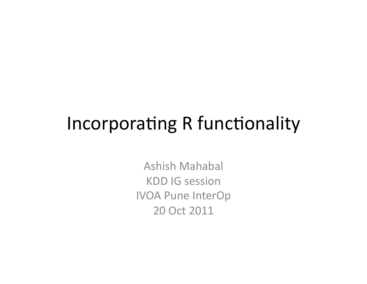## Incorporating R functionality

**Ashish Mahabal KDD IG session IVOA Pune InterOp** 20 Oct 2011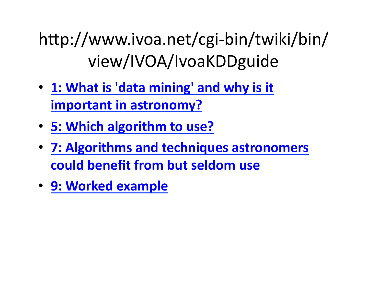http://www.ivoa.net/cgi-bin/twiki/bin/ view/IVOA/IvoaKDDguide

- 1: What is 'data mining' and why is it **important in astronomy?**
- 5: Which algorithm to use?
- **7: Algorithms and techniques astronomers could benefit from but seldom use**
- **9: Worked example**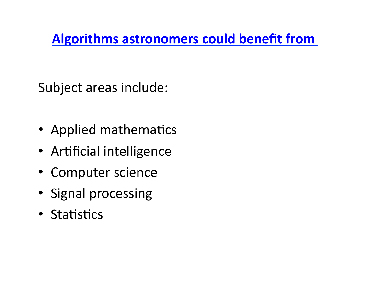#### **Algorithms astronomers could benefit from**

Subject areas include:

- Applied mathematics
- Artificial intelligence
- Computer science
- Signal processing
- Statistics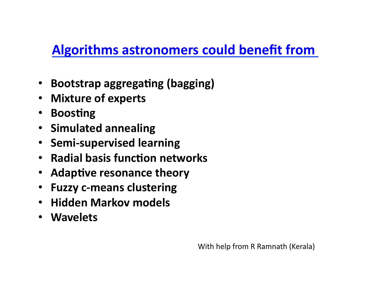#### **Algorithms astronomers could benefit from**

- Bootstrap aggregating (bagging)
- Mixture of experts
- **Boosting**
- **Simulated annealing**
- Semi-supervised learning
- **Radial basis function networks**
- Adaptive resonance theory
- **Fuzzy c-means clustering**
- **Hidden Markov models**
- **Wavelets**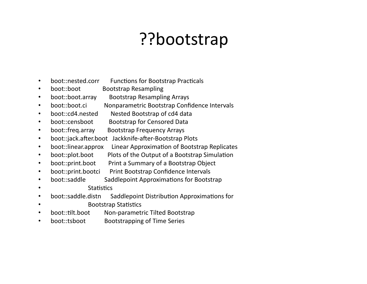## ??bootstrap?

- boot::nested.corr **Functions for Bootstrap Practicals**  $\bullet$
- boot::boot **Bootstrap Resampling**  $\bullet$
- boot::boot.array **Bootstrap Resampling Arrays**  $\bullet$
- hoot::hoot.ci Nonparametric Bootstrap Confidence Intervals  $\bullet$
- boot::cd4.nested Nested Bootstrap of cd4 data  $\bullet$
- **Bootstrap for Censored Data** boot::censboot  $\bullet$
- boot::freq.array **Bootstrap Frequency Arrays**  $\bullet$
- boot::jack.after.boot Jackknife-after-Bootstrap Plots  $\bullet$
- boot::linear.approx Linear Approximation of Bootstrap Replicates  $\bullet$
- Plots of the Output of a Bootstrap Simulation boot::plot.boot  $\bullet$
- Print a Summary of a Bootstrap Object boot::print.boot  $\bullet$
- boot::print.bootci Print Bootstrap Confidence Intervals  $\bullet$
- boot::saddle Saddlepoint Approximations for Bootstrap  $\bullet$
- **Statistics**
- boot::saddle.distn Saddlepoint Distribution Approximations for  $\bullet$
- **Bootstrap Statistics**  $\bullet$
- boot::tilt.boot Non-parametric Tilted Bootstrap
- boot::tsboot **Bootstrapping of Time Series**  $\bullet$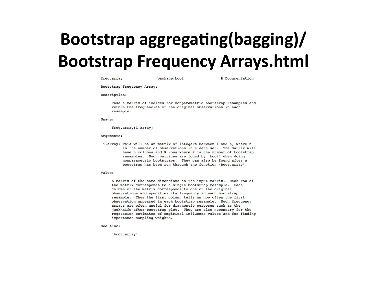# Bootstrap aggregating(bagging)/ **Bootstrap Frequency Arrays.html**

freq.array

package:boot

R Documentation

Bootstrap Frequency Arrays

Description:

Take a matrix of indices for nonparametric bootstrap resamples and return the frequencies of the original observations in each resample.

Usage:

freq.array(i.array)

Arguments:

i.array: This will be an matrix of integers between 1 and n, where n is the number of observations in a data set. The matrix will have n columns and R rows where R is the number of bootstrap resamples. Such matrices are found by 'boot' when doing nonparametric bootstraps. They can also be found after a bootstrap has been run through the function 'boot.array'.

Value:

A matrix of the same dimensions as the input matrix. Each row of the matrix corresponds to a single bootstrap resample. Each column of the matrix corresponds to one of the original observations and specifies its frequency in each bootstrap resample. Thus the first column tells us how often the first observation appeared in each bootstrap resample. Such frequency arrays are often useful for diagnostic purposes such as the jackknife-after-bootstrap plot. They are also necessary for the regression estimates of empirical influence values and for finding importance sampling weights.

See Also:

'boot.array'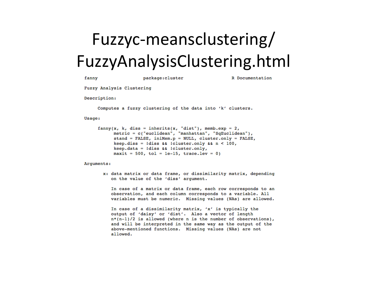# Fuzzyc-meansclustering/ FuzzyAnalysisClustering.html

| fanny        |                           | package: cluster                                                                     |                                                                                                                                                                                                                           | R Documentation                                                  |
|--------------|---------------------------|--------------------------------------------------------------------------------------|---------------------------------------------------------------------------------------------------------------------------------------------------------------------------------------------------------------------------|------------------------------------------------------------------|
|              | Fuzzy Analysis Clustering |                                                                                      |                                                                                                                                                                                                                           |                                                                  |
| Description: |                           |                                                                                      |                                                                                                                                                                                                                           |                                                                  |
|              |                           |                                                                                      | Computes a fuzzy clustering of the data into 'k' clusters.                                                                                                                                                                |                                                                  |
| Usage:       |                           |                                                                                      |                                                                                                                                                                                                                           |                                                                  |
|              |                           | $keep.data = !diss && !cluster-only,$<br>$maxit = 500$ , tol = 1e-15, trace.lev = 0) | $fanny(x, k, diss = inherits(x, "dist"), memb.exp = 2,$<br>metric = c("euclidean", "manhattan", "SqEuclidean"),<br>stand = FALSE, iniMem.p = NULL, cluster.only = FALSE,<br>$keep.diss = Idiss & cluster-only & n < 100,$ |                                                                  |
| Arguments:   |                           |                                                                                      |                                                                                                                                                                                                                           |                                                                  |
|              |                           | on the value of the 'diss' argument.                                                 |                                                                                                                                                                                                                           | x: data matrix or data frame, or dissimilarity matrix, depending |
|              |                           |                                                                                      | observation, and each column corresponds to a variable. All                                                                                                                                                               | In case of a matrix or data frame, each row corresponds to an    |

to an A11 variables must be numeric. Missing values (NAs) are allowed.

In case of a dissimilarity matrix, 'x' is typically the output of 'daisy' or 'dist'. Also a vector of length  $n*(n-1)/2$  is allowed (where n is the number of observations), and will be interpreted in the same way as the output of the above-mentioned functions. Missing values (NAs) are not allowed.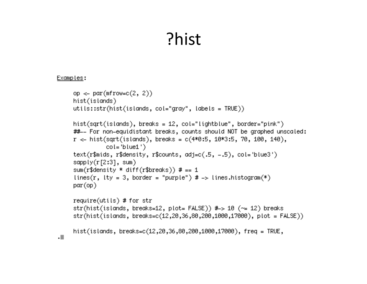### ?hist

#### Examples:

```
op <- par(mfrow=c(2, 2))
hist(islands)
utits: str(hist(islands, col='gray", labels = TRUE))hist(sqrt(islands), breaks = 12, col="lightblue", border="pink")
##-- For non-equidistant breaks, counts should NOT be graphed unscaled:
r \ll hist(sqrt(islands), breaks = c(4*0:5, 10*3:5, 70, 100, 140),
          col = 'blue1'')text(r$mids, r$density, r$counts, adj=c(.5, -.5), col='blue3')
sapply(r[2:3], sum)
sum(r$density * diff(r$breaks)) # == 1
lines(r, lty = 3, border = "purple") # -> lines.histogram(*)
par(op)require(utils) # for str
str(hist(islands, breaks=12, plot= FALSE)) # > 10 (\approx 12) breaks
str(hist(islands, breaks=c(12,20,36,80,200,1000,17000), plot = FALSE))
hist(islands, breaks=c(12,20,36,80,200,1000,17000), freq = TRUE,
```
 $\cdot$  .